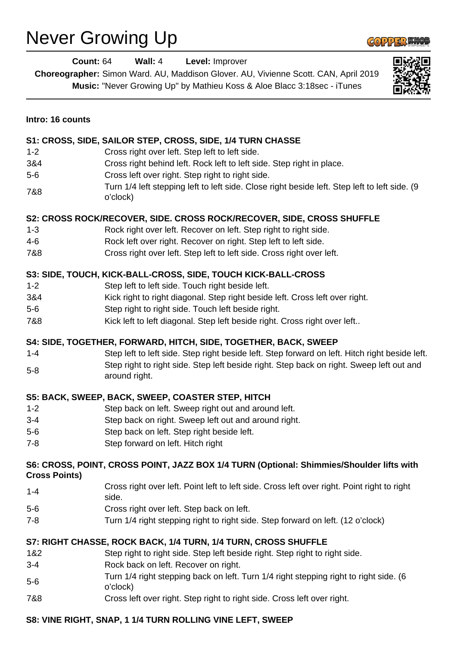## Never Growing Up



| <b>Count: 64</b>     | Wall: 4<br>Level: Improver<br>Choreographer: Simon Ward. AU, Maddison Glover. AU, Vivienne Scott. CAN, April 2019<br>Music: "Never Growing Up" by Mathieu Koss & Aloe Blacc 3:18sec - iTunes |
|----------------------|----------------------------------------------------------------------------------------------------------------------------------------------------------------------------------------------|
| Intro: 16 counts     |                                                                                                                                                                                              |
|                      | S1: CROSS, SIDE, SAILOR STEP, CROSS, SIDE, 1/4 TURN CHASSE                                                                                                                                   |
| $1 - 2$              | Cross right over left. Step left to left side.                                                                                                                                               |
| 3&4                  | Cross right behind left. Rock left to left side. Step right in place.                                                                                                                        |
| $5-6$                | Cross left over right. Step right to right side.                                                                                                                                             |
| 7&8                  | Turn 1/4 left stepping left to left side. Close right beside left. Step left to left side. (9<br>o'clock)                                                                                    |
|                      | S2: CROSS ROCK/RECOVER, SIDE. CROSS ROCK/RECOVER, SIDE, CROSS SHUFFLE                                                                                                                        |
| $1 - 3$              | Rock right over left. Recover on left. Step right to right side.                                                                                                                             |
| 4-6                  | Rock left over right. Recover on right. Step left to left side.                                                                                                                              |
| 7&8                  | Cross right over left. Step left to left side. Cross right over left.                                                                                                                        |
|                      | S3: SIDE, TOUCH, KICK-BALL-CROSS, SIDE, TOUCH KICK-BALL-CROSS                                                                                                                                |
| $1 - 2$              | Step left to left side. Touch right beside left.                                                                                                                                             |
| 3&4                  | Kick right to right diagonal. Step right beside left. Cross left over right.                                                                                                                 |
| $5-6$                | Step right to right side. Touch left beside right.                                                                                                                                           |
| 7&8                  | Kick left to left diagonal. Step left beside right. Cross right over left                                                                                                                    |
|                      | S4: SIDE, TOGETHER, FORWARD, HITCH, SIDE, TOGETHER, BACK, SWEEP                                                                                                                              |
| $1 - 4$              | Step left to left side. Step right beside left. Step forward on left. Hitch right beside left.                                                                                               |
| $5-8$                | Step right to right side. Step left beside right. Step back on right. Sweep left out and<br>around right.                                                                                    |
|                      | S5: BACK, SWEEP, BACK, SWEEP, COASTER STEP, HITCH                                                                                                                                            |
| $1 - 2$              | Step back on left. Sweep right out and around left.                                                                                                                                          |
| $3 - 4$              | Step back on right. Sweep left out and around right.                                                                                                                                         |
| $5-6$                | Step back on left. Step right beside left.                                                                                                                                                   |
| $7 - 8$              | Step forward on left. Hitch right                                                                                                                                                            |
| <b>Cross Points)</b> | S6: CROSS, POINT, CROSS POINT, JAZZ BOX 1/4 TURN (Optional: Shimmies/Shoulder lifts with                                                                                                     |
| $1 - 4$              | Cross right over left. Point left to left side. Cross left over right. Point right to right<br>side.                                                                                         |
| $5-6$                | Cross right over left. Step back on left.                                                                                                                                                    |
| $7 - 8$              | Turn 1/4 right stepping right to right side. Step forward on left. (12 o'clock)                                                                                                              |
|                      | S7: RIGHT CHASSE, ROCK BACK, 1/4 TURN, 1/4 TURN, CROSS SHUFFLE                                                                                                                               |
| 1&2                  | Step right to right side. Step left beside right. Step right to right side.                                                                                                                  |
| $3 - 4$              | Rock back on left. Recover on right.                                                                                                                                                         |
| $5-6$                | Turn 1/4 right stepping back on left. Turn 1/4 right stepping right to right side. (6<br>o'clock)                                                                                            |
| 7&8                  | Cross left over right. Step right to right side. Cross left over right.                                                                                                                      |
|                      | S8: VINE RIGHT, SNAP, 1 1/4 TURN ROLLING VINE LEFT, SWEEP                                                                                                                                    |